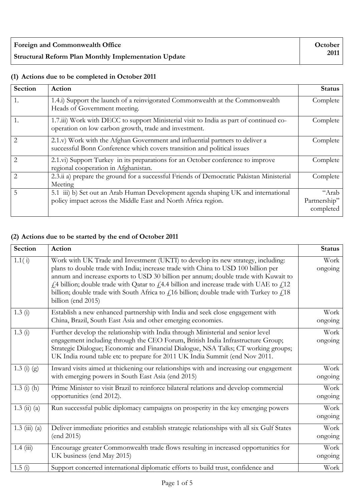| Foreign and Commonwealth Office                             | October |
|-------------------------------------------------------------|---------|
| <b>Structural Reform Plan Monthly Implementation Update</b> | 2011    |

#### **Section Action Status** 1. 1.4.i) Support the launch of a reinvigorated Commonwealth at the Commonwealth Heads of Government meeting. Complete 1. 1.7.iii) Work with DECC to support Ministerial visit to India as part of continued cooperation on low carbon growth, trade and investment. Complete 2 2.1.v) Work with the Afghan Government and influential partners to deliver a successful Bonn Conference which covers transition and political issues Complete 2 2.1.vi) Support Turkey in its preparations for an October conference to improve regional cooperation in Afghanistan. **Complete** 2 2.3.ii a) prepare the ground for a successful Friends of Democratic Pakistan Ministerial Meeting Complete 5 5.1 iii) b) Set out an Arab Human Development agenda shaping UK and international policy impact across the Middle East and North Africa region. "Arab Partnership" completed

### **(1) Actions due to be completed in October 2011**

## **(2) Actions due to be started by the end of October 2011**

| <b>Section</b>                     | Action                                                                                                                                                                                                                                                                                                                                                                                                                                                                                   | <b>Status</b>   |
|------------------------------------|------------------------------------------------------------------------------------------------------------------------------------------------------------------------------------------------------------------------------------------------------------------------------------------------------------------------------------------------------------------------------------------------------------------------------------------------------------------------------------------|-----------------|
| 1.1(i)                             | Work with UK Trade and Investment (UKTI) to develop its new strategy, including:<br>plans to double trade with India; increase trade with China to USD 100 billion per<br>annum and increase exports to USD 30 billion per annum; double trade with Kuwait to<br>$f1$ 4 billion; double trade with Qatar to $f14.4$ billion and increase trade with UAE to $f112$<br>billion; double trade with South Africa to $fi16$ billion; double trade with Turkey to $fi18$<br>billion (end 2015) | Work<br>ongoing |
| 1.3(i)                             | Establish a new enhanced partnership with India and seek close engagement with<br>China, Brazil, South East Asia and other emerging economies.                                                                                                                                                                                                                                                                                                                                           | Work<br>ongoing |
| 1.3(i)                             | Further develop the relationship with India through Ministerial and senior level<br>engagement including through the CEO Forum, British India Infrastructure Group;<br>Strategic Dialogue; Economic and Financial Dialogue, NSA Talks; CT working groups;<br>UK India round table etc to prepare for 2011 UK India Summit (end Nov 2011.                                                                                                                                                 | Work<br>ongoing |
| $1.3(j)$ (g)                       | Inward visits aimed at thickening our relationships with and increasing our engagement<br>with emerging powers in South East Asia (end 2015)                                                                                                                                                                                                                                                                                                                                             | Work<br>ongoing |
| $1.3$ (i) (h)                      | Prime Minister to visit Brazil to reinforce bilateral relations and develop commercial<br>opportunities (end 2012).                                                                                                                                                                                                                                                                                                                                                                      | Work<br>ongoing |
| $1.3 \; \text{(ii)} \; \text{(a)}$ | Run successful public diplomacy campaigns on prosperity in the key emerging powers                                                                                                                                                                                                                                                                                                                                                                                                       | Work<br>ongoing |
| $1.3 \ (iii) \ (a)$                | Deliver immediate priorities and establish strategic relationships with all six Gulf States<br>(end 2015)                                                                                                                                                                                                                                                                                                                                                                                | Work<br>ongoing |
| 1.4(iii)                           | Encourage greater Commonwealth trade flows resulting in increased opportunities for<br>UK business (end May 2015)                                                                                                                                                                                                                                                                                                                                                                        | Work<br>ongoing |
| 1.5(i)                             | Support concerted international diplomatic efforts to build trust, confidence and                                                                                                                                                                                                                                                                                                                                                                                                        | Work            |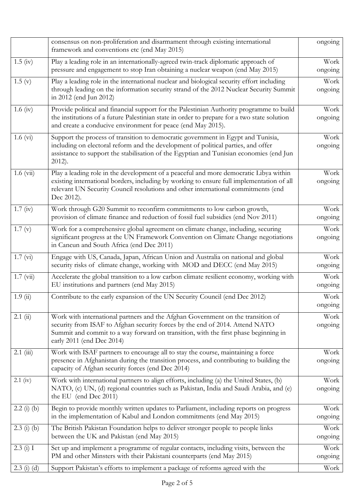|                    | consensus on non-proliferation and disarmament through existing international<br>framework and conventions etc (end May 2015)                                                                                                                                                         | ongoing         |
|--------------------|---------------------------------------------------------------------------------------------------------------------------------------------------------------------------------------------------------------------------------------------------------------------------------------|-----------------|
| $1.5 \; (iv)$      | Play a leading role in an internationally-agreed twin-track diplomatic approach of<br>pressure and engagement to stop Iran obtaining a nuclear weapon (end May 2015)                                                                                                                  | Work<br>ongoing |
| 1.5(y)             | Play a leading role in the international nuclear and biological security effort including<br>through leading on the information security strand of the 2012 Nuclear Security Summit<br>in 2012 (end Jun 2012)                                                                         | Work<br>ongoing |
| $1.6 \text{ (iv)}$ | Provide political and financial support for the Palestinian Authority programme to build<br>the institutions of a future Palestinian state in order to prepare for a two state solution<br>and create a conducive environment for peace (end May 2015).                               | Work<br>ongoing |
| $1.6 \,(vi)$       | Support the process of transition to democratic government in Egypt and Tunisia,<br>including on electoral reform and the development of political parties, and offer<br>assistance to support the stabilisation of the Egyptian and Tunisian economies (end Jun<br>2012).            | Work<br>ongoing |
| $1.6 \ (vi)$       | Play a leading role in the development of a peaceful and more democratic Libya within<br>existing international borders, including by working to ensure full implementation of all<br>relevant UN Security Council resolutions and other international commitments (end<br>Dec 2012). | Work<br>ongoing |
| 1.7 (iv)           | Work through G20 Summit to reconfirm commitments to low carbon growth,<br>provision of climate finance and reduction of fossil fuel subsidies (end Nov 2011)                                                                                                                          | Work<br>ongoing |
| 1.7(y)             | Work for a comprehensive global agreement on climate change, including, securing<br>significant progress at the UN Framework Convention on Climate Change negotiations<br>in Cancun and South Africa (end Dec 2011)                                                                   | Work<br>ongoing |
| 1.7 (vi)           | Engage with US, Canada, Japan, African Union and Australia on national and global<br>security risks of climate change, working with MOD and DECC (end May 2015)                                                                                                                       | Work<br>ongoing |
| $1.7 \ (vi)$       | Accelerate the global transition to a low carbon climate resilient economy, working with<br>EU institutions and partners (end May 2015)                                                                                                                                               | Work<br>ongoing |
| 1.9(i)             | Contribute to the early expansion of the UN Security Council (end Dec 2012)                                                                                                                                                                                                           | Work<br>ongoing |
| $2.1$ (ii)         | Work with international partners and the Afghan Government on the transition of<br>security from ISAF to Afghan security forces by the end of 2014. Attend NATO<br>Summit and commit to a way forward on transition, with the first phase beginning in<br>early 2011 (end Dec 2014)   | Work<br>ongoing |
| $2.1$ (iii)        | Work with ISAF partners to encourage all to stay the course, maintaining a force<br>presence in Afghanistan during the transition process, and contributing to building the<br>capacity of Afghan security forces (end Dec 2014)                                                      | Work<br>ongoing |
| $2.1$ (iv)         | Work with international partners to align efforts, including (a) the United States, (b)<br>NATO, (c) UN, (d) regional countries such as Pakistan, India and Saudi Arabia, and (e)<br>the EU (end Dec 2011)                                                                            | Work<br>ongoing |
| $2.2(i)$ (b)       | Begin to provide monthly written updates to Parliament, including reports on progress<br>in the implementation of Kabul and London commitments (end May 2015)                                                                                                                         | Work<br>ongoing |
| $2.3$ (i) (b)      | The British Pakistan Foundation helps to deliver stronger people to people links<br>between the UK and Pakistan (end May 2015)                                                                                                                                                        | Work<br>ongoing |
| 2.3(j) I           | Set up and implement a programme of regular contacts, including visits, between the<br>PM and other Minsters with their Pakistani counterparts (end May 2015)                                                                                                                         | Work<br>ongoing |
| $2.3$ (i) (d)      | Support Pakistan's efforts to implement a package of reforms agreed with the                                                                                                                                                                                                          | Work            |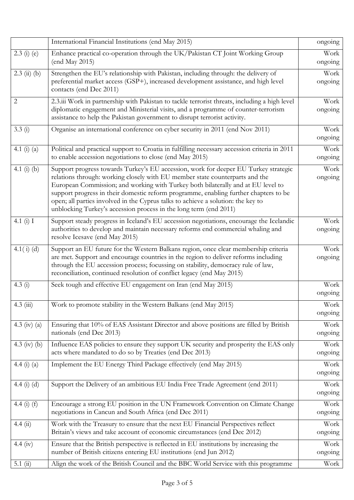|                 | International Financial Institutions (end May 2015)                                                                                                                                                                                                                                                                                                                                                                                                                                                      | ongoing         |
|-----------------|----------------------------------------------------------------------------------------------------------------------------------------------------------------------------------------------------------------------------------------------------------------------------------------------------------------------------------------------------------------------------------------------------------------------------------------------------------------------------------------------------------|-----------------|
| $2.3$ (i) (e)   | Enhance practical co-operation through the UK/Pakistan CT Joint Working Group<br>(end May 2015)                                                                                                                                                                                                                                                                                                                                                                                                          | Work<br>ongoing |
| $2.3$ (ii) (b)  | Strengthen the EU's relationship with Pakistan, including through: the delivery of<br>preferential market access (GSP+), increased development assistance, and high level<br>contacts (end Dec 2011)                                                                                                                                                                                                                                                                                                     | Work<br>ongoing |
| 2               | 2.3.iii Work in partnership with Pakistan to tackle terrorist threats, including a high level<br>diplomatic engagement and Ministerial visits, and a programme of counter-terrorism<br>assistance to help the Pakistan government to disrupt terrorist activity.                                                                                                                                                                                                                                         | Work<br>ongoing |
| 3.3(i)          | Organise an international conference on cyber security in 2011 (end Nov 2011)                                                                                                                                                                                                                                                                                                                                                                                                                            | Work<br>ongoing |
| 4.1 $(i)$ $(a)$ | Political and practical support to Croatia in fulfilling necessary accession criteria in 2011<br>to enable accession negotiations to close (end May 2015)                                                                                                                                                                                                                                                                                                                                                | Work<br>ongoing |
| 4.1 (i) (b)     | Support progress towards Turkey's EU accession, work for deeper EU Turkey strategic<br>relations through: working closely with EU member state counterparts and the<br>European Commission; and working with Turkey both bilaterally and at EU level to<br>support progress in their domestic reform programme, enabling further chapters to be<br>open; all parties involved in the Cyprus talks to achieve a solution: the key to<br>unblocking Turkey's accession process in the long term (end 2011) | Work<br>ongoing |
| 4.1 $(i)$ I     | Support steady progress in Iceland's EU accession negotiations, encourage the Icelandic<br>authorities to develop and maintain necessary reforms end commercial whaling and<br>resolve Icesave (end May 2015)                                                                                                                                                                                                                                                                                            | Work<br>ongoing |
| $4.1(i)$ (d)    | Support an EU future for the Western Balkans region, once clear membership criteria<br>are met. Support and encourage countries in the region to deliver reforms including<br>through the EU accession process; focussing on stability, democracy rule of law,<br>reconciliation, continued resolution of conflict legacy (end May 2015)                                                                                                                                                                 | Work<br>ongoing |
| 4.3(i)          | Seek tough and effective EU engagement on Iran (end May 2015)                                                                                                                                                                                                                                                                                                                                                                                                                                            | Work<br>ongoing |
| $4.3 \ (iii)$   | Work to promote stability in the Western Balkans (end May 2015)                                                                                                                                                                                                                                                                                                                                                                                                                                          | Work<br>ongoing |
| 4.3 (iv) (a)    | Ensuring that 10% of EAS Assistant Director and above positions are filled by British<br>nationals (end Dec 2013)                                                                                                                                                                                                                                                                                                                                                                                        | Work<br>ongoing |
| 4.3 (iv) (b)    | Influence EAS policies to ensure they support UK security and prosperity the EAS only<br>acts where mandated to do so by Treaties (end Dec 2013)                                                                                                                                                                                                                                                                                                                                                         | Work<br>ongoing |
| 4.4 (i) (a)     | Implement the EU Energy Third Package effectively (end May 2015)                                                                                                                                                                                                                                                                                                                                                                                                                                         | Work<br>ongoing |
| 4.4 $(i)$ $(d)$ | Support the Delivery of an ambitious EU India Free Trade Agreement (end 2011)                                                                                                                                                                                                                                                                                                                                                                                                                            | Work<br>ongoing |
| 4.4 (i) $(f)$   | Encourage a strong EU position in the UN Framework Convention on Climate Change<br>negotiations in Cancun and South Africa (end Dec 2011)                                                                                                                                                                                                                                                                                                                                                                | Work<br>ongoing |
| 4.4(ii)         | Work with the Treasury to ensure that the next EU Financial Perspectives reflect<br>Britain's views and take account of economic circumstances (end Dec 2012)                                                                                                                                                                                                                                                                                                                                            | Work<br>ongoing |
| 4.4 (iv)        | Ensure that the British perspective is reflected in EU institutions by increasing the<br>number of British citizens entering EU institutions (end Jun 2012)                                                                                                                                                                                                                                                                                                                                              | Work<br>ongoing |
| 5.1(i)          | Align the work of the British Council and the BBC World Service with this programme                                                                                                                                                                                                                                                                                                                                                                                                                      | Work            |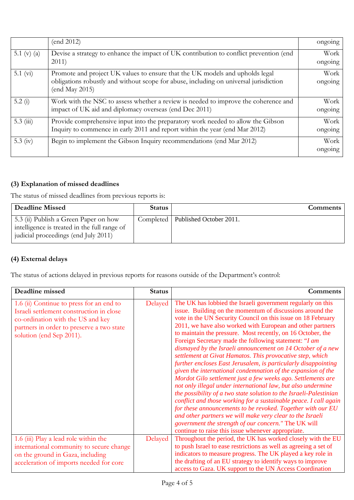|               | (end 2012)                                                                                                                                                                              | ongoing         |
|---------------|-----------------------------------------------------------------------------------------------------------------------------------------------------------------------------------------|-----------------|
| 5.1 (v) (a)   | Devise a strategy to enhance the impact of UK contribution to conflict prevention (end<br>2011)                                                                                         | Work<br>ongoing |
| 5.1 $(vi)$    | Promote and project UK values to ensure that the UK models and upholds legal<br>obligations robustly and without scope for abuse, including on universal jurisdiction<br>(end May 2015) | Work<br>ongoing |
| 5.2 $(i)$     | Work with the NSC to assess whether a review is needed to improve the coherence and<br>impact of UK aid and diplomacy overseas (end Dec 2011)                                           | Work<br>ongoing |
| $5.3 \ (iii)$ | Provide comprehensive input into the preparatory work needed to allow the Gibson<br>Inquiry to commence in early 2011 and report within the year (end Mar 2012)                         | Work<br>ongoing |
| 5.3 $(iv)$    | Begin to implement the Gibson Inquiry recommendations (end Mar 2012)                                                                                                                    | Work<br>ongoing |

## **(3) Explanation of missed deadlines**

The status of missed deadlines from previous reports is:

| <b>Deadline Missed</b>                                                                                                        | <b>Status</b> | Comments                            |
|-------------------------------------------------------------------------------------------------------------------------------|---------------|-------------------------------------|
| 5.3 (ii) Publish a Green Paper on how<br>intelligence is treated in the full range of<br>judicial proceedings (end July 2011) |               | Completed   Published October 2011. |

# **(4) External delays**

The status of actions delayed in previous reports for reasons outside of the Department's control:

| Deadline missed                                                                                                                                                                                    | <b>Status</b> | <b>Comments</b>                                                                                                                                                                                                                                                                                                                                                                                                                                                                                                                                                                                                                                                                                                                                                                                                                                                                                                                                                                                                                                                                                                                                                  |
|----------------------------------------------------------------------------------------------------------------------------------------------------------------------------------------------------|---------------|------------------------------------------------------------------------------------------------------------------------------------------------------------------------------------------------------------------------------------------------------------------------------------------------------------------------------------------------------------------------------------------------------------------------------------------------------------------------------------------------------------------------------------------------------------------------------------------------------------------------------------------------------------------------------------------------------------------------------------------------------------------------------------------------------------------------------------------------------------------------------------------------------------------------------------------------------------------------------------------------------------------------------------------------------------------------------------------------------------------------------------------------------------------|
| 1.6 (ii) Continue to press for an end to<br>Israeli settlement construction in close<br>co-ordination with the US and key<br>partners in order to preserve a two state<br>solution (end Sep 2011). | Delayed       | The UK has lobbied the Israeli government regularly on this<br>issue. Building on the momentum of discussions around the<br>vote in the UN Security Council on this issue on 18 February<br>2011, we have also worked with European and other partners<br>to maintain the pressure. Most recently, on 16 October, the<br>Foreign Secretary made the following statement: "I am<br>dismayed by the Israeli announcement on 14 October of a new<br>settlement at Givat Hamatos. This provocative step, which<br>further encloses East Jerusalem, is particularly disappointing<br>given the international condemnation of the expansion of the<br>Mordot Gilo settlement just a few weeks ago. Settlements are<br>not only illegal under international law, but also undermine<br>the possibility of a two state solution to the Israeli-Palestinian<br>conflict and those working for a sustainable peace. I call again<br>for these announcements to be revoked. Together with our EU<br>and other partners we will make very clear to the Israeli<br>government the strength of our concern." The UK will<br>continue to raise this issue whenever appropriate. |
| 1.6 (iii) Play a lead role within the<br>international community to secure change                                                                                                                  | Delayed       | Throughout the period, the UK has worked closely with the EU<br>to push Israel to ease restrictions as well as agreeing a set of                                                                                                                                                                                                                                                                                                                                                                                                                                                                                                                                                                                                                                                                                                                                                                                                                                                                                                                                                                                                                                 |
| on the ground in Gaza, including                                                                                                                                                                   |               | indicators to measure progress. The UK played a key role in<br>the drafting of an EU strategy to identify ways to improve                                                                                                                                                                                                                                                                                                                                                                                                                                                                                                                                                                                                                                                                                                                                                                                                                                                                                                                                                                                                                                        |
| acceleration of imports needed for core                                                                                                                                                            |               | access to Gaza. UK support to the UN Access Coordination                                                                                                                                                                                                                                                                                                                                                                                                                                                                                                                                                                                                                                                                                                                                                                                                                                                                                                                                                                                                                                                                                                         |